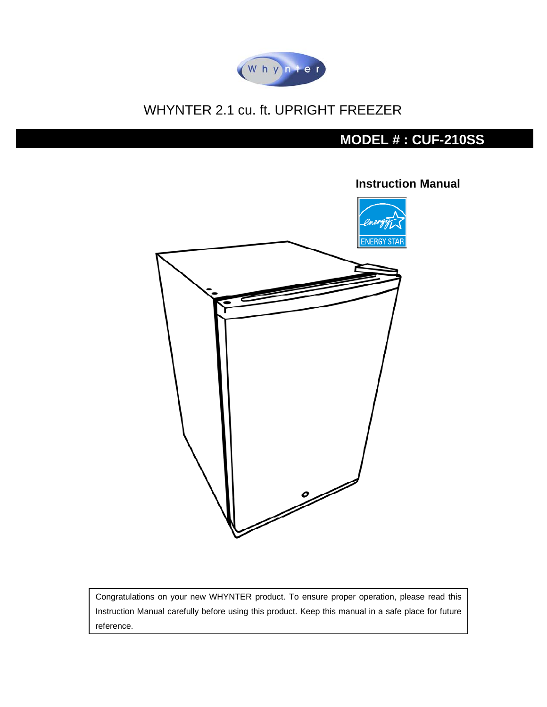

# WHYNTER 2.1 cu. ft. UPRIGHT FREEZER

# **MODEL # : CUF-210SS**



**Instruction Manual** 

Congratulations on your new WHYNTER product. To ensure proper operation, please read this Instruction Manual carefully before using this product. Keep this manual in a safe place for future reference.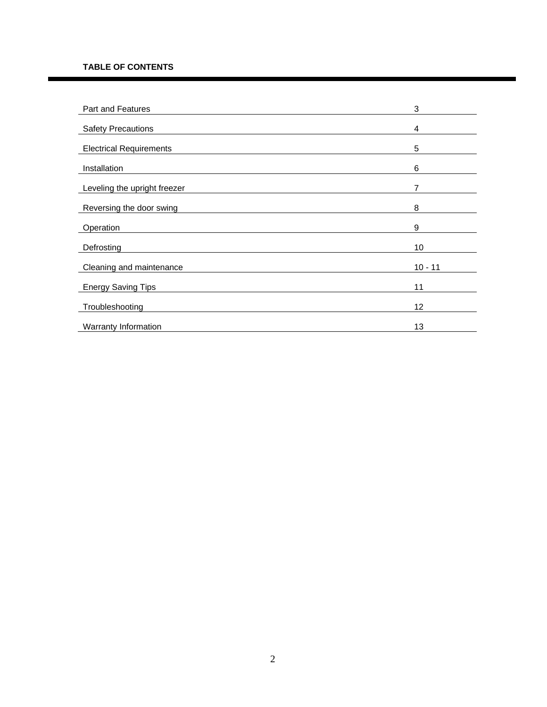#### **TABLE OF CONTENTS**

| Part and Features              | 3         |
|--------------------------------|-----------|
| <b>Safety Precautions</b>      | 4         |
| <b>Electrical Requirements</b> | 5         |
| Installation                   | 6         |
| Leveling the upright freezer   | 7         |
| Reversing the door swing       | 8         |
| Operation                      | 9         |
| Defrosting                     | 10        |
| Cleaning and maintenance       | $10 - 11$ |
| <b>Energy Saving Tips</b>      | 11        |
| Troubleshooting                | 12        |
| Warranty Information           | 13        |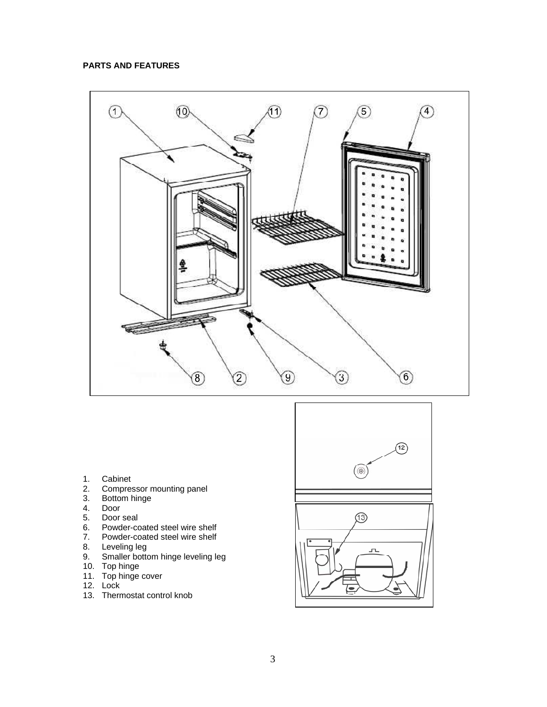### **PARTS AND FEATURES**



- 
- 1. Cabinet<br>2. Compres 2. Compressor mounting panel<br>3. Bottom hinge
- 3. Bottom hinge
- 
- 4. Door
- 5. Door seal<br>6. Powder-co
- 6. Powder-coated steel wire shelf<br>7. Powder-coated steel wire shelf 7. Powder-coated steel wire shelf
- 8. Leveling leg
- 9. Smaller bottom hinge leveling leg
- 10. Top hinge
- 11. Top hinge cover
- 12. Lock
- 13. Thermostat control knob

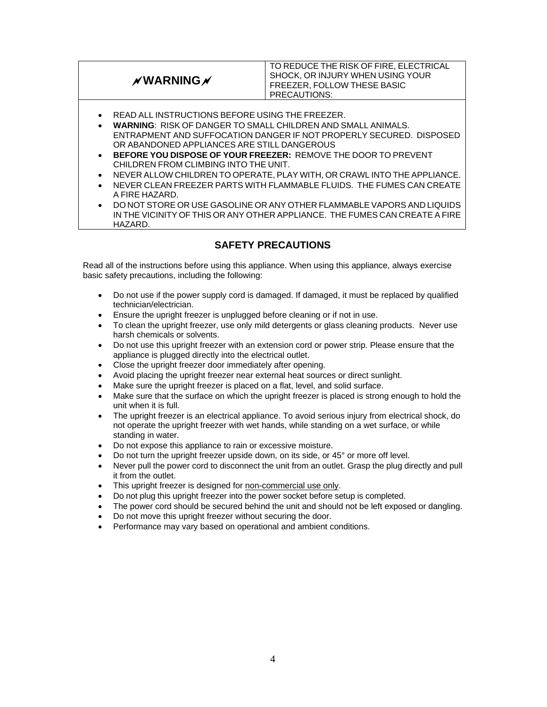**WARNING**

TO REDUCE THE RISK OF FIRE, ELECTRICAL SHOCK, OR INJURY WHEN USING YOUR FREEZER, FOLLOW THESE BASIC PRECAUTIONS:

- READ ALL INSTRUCTIONS BEFORE USING THE FREEZER.
- **WARNING**: RISK OF DANGER TO SMALL CHILDREN AND SMALL ANIMALS. ENTRAPMENT AND SUFFOCATION DANGER IF NOT PROPERLY SECURED. DISPOSED OR ABANDONED APPLIANCES ARE STILL DANGEROUS
- **BEFORE YOU DISPOSE OF YOUR FREEZER:** REMOVE THE DOOR TO PREVENT CHILDREN FROM CLIMBING INTO THE UNIT.
- NEVER ALLOW CHILDREN TO OPERATE, PLAY WITH, OR CRAWL INTO THE APPLIANCE.
- NEVER CLEAN FREEZER PARTS WITH FLAMMABLE FLUIDS. THE FUMES CAN CREATE A FIRE HAZARD.
- DO NOT STORE OR USE GASOLINE OR ANY OTHER FLAMMABLE VAPORS AND LIQUIDS IN THE VICINITY OF THIS OR ANY OTHER APPLIANCE. THE FUMES CAN CREATE A FIRE HAZARD.

# **SAFETY PRECAUTIONS**

Read all of the instructions before using this appliance. When using this appliance, always exercise basic safety precautions, including the following:

- Do not use if the power supply cord is damaged. If damaged, it must be replaced by qualified technician/electrician.
- Ensure the upright freezer is unplugged before cleaning or if not in use.
- To clean the upright freezer, use only mild detergents or glass cleaning products. Never use harsh chemicals or solvents.
- Do not use this upright freezer with an extension cord or power strip. Please ensure that the appliance is plugged directly into the electrical outlet.
- Close the upright freezer door immediately after opening.
- Avoid placing the upright freezer near external heat sources or direct sunlight.
- Make sure the upright freezer is placed on a flat, level, and solid surface.
- Make sure that the surface on which the upright freezer is placed is strong enough to hold the unit when it is full.
- The upright freezer is an electrical appliance. To avoid serious injury from electrical shock, do not operate the upright freezer with wet hands, while standing on a wet surface, or while standing in water.
- Do not expose this appliance to rain or excessive moisture.
- Do not turn the upright freezer upside down, on its side, or 45° or more off level.
- Never pull the power cord to disconnect the unit from an outlet. Grasp the plug directly and pull it from the outlet.
- This upright freezer is designed for non-commercial use only.
- Do not plug this upright freezer into the power socket before setup is completed.
- The power cord should be secured behind the unit and should not be left exposed or dangling.
- Do not move this upright freezer without securing the door.
- Performance may vary based on operational and ambient conditions.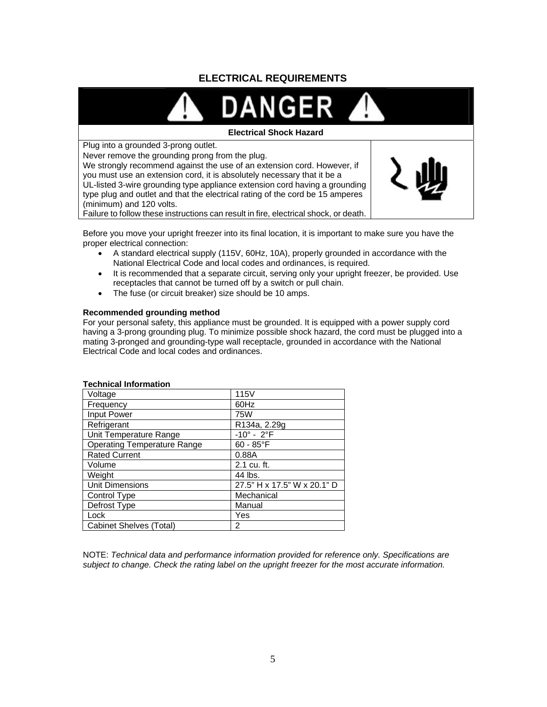# **ELECTRICAL REQUIREMENTS**



Before you move your upright freezer into its final location, it is important to make sure you have the proper electrical connection:

- A standard electrical supply (115V, 60Hz, 10A), properly grounded in accordance with the National Electrical Code and local codes and ordinances, is required.
- It is recommended that a separate circuit, serving only your upright freezer, be provided. Use receptacles that cannot be turned off by a switch or pull chain.
- The fuse (or circuit breaker) size should be 10 amps.

#### **Recommended grounding method**

For your personal safety, this appliance must be grounded. It is equipped with a power supply cord having a 3-prong grounding plug. To minimize possible shock hazard, the cord must be plugged into a mating 3-pronged and grounding-type wall receptacle, grounded in accordance with the National Electrical Code and local codes and ordinances.

| Voltage                            | 115V                        |
|------------------------------------|-----------------------------|
| Frequency                          | 60Hz                        |
| <b>Input Power</b>                 | 75W                         |
| Refrigerant                        | R134a, 2.29g                |
| Unit Temperature Range             | $-10^{\circ} - 2^{\circ}F$  |
| <b>Operating Temperature Range</b> | $60 - 85^{\circ}F$          |
| <b>Rated Current</b>               | 0.88A                       |
| Volume                             | 2.1 cu. ft.                 |
| Weight                             | 44 lbs.                     |
| <b>Unit Dimensions</b>             | 27.5" H x 17.5" W x 20.1" D |
| Control Type                       | Mechanical                  |
| Defrost Type                       | Manual                      |
| Lock                               | Yes                         |
| Cabinet Shelves (Total)            | 2                           |

#### **Technical Information**

NOTE: *Technical data and performance information provided for reference only. Specifications are subject to change. Check the rating label on the upright freezer for the most accurate information.*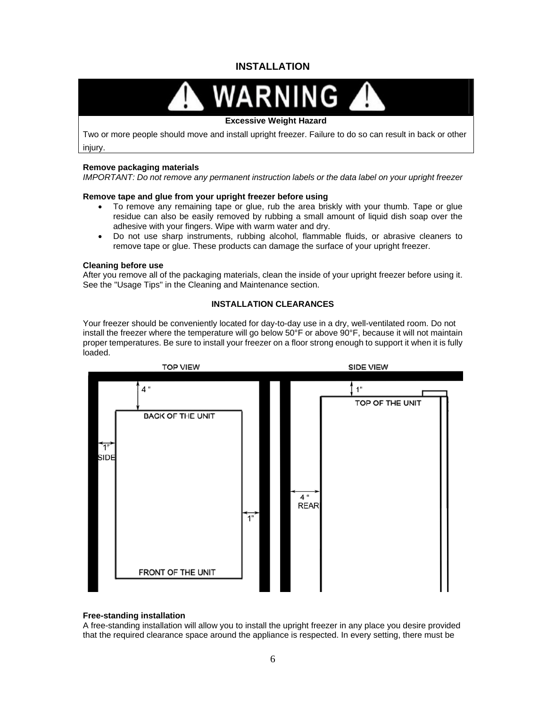# **INSTALLATION**

# **RNING**

#### **Excessive Weight Hazard**

Two or more people should move and install upright freezer. Failure to do so can result in back or other injury.

#### **Remove packaging materials**

*IMPORTANT: Do not remove any permanent instruction labels or the data label on your upright freezer* 

#### **Remove tape and glue from your upright freezer before using**

- To remove any remaining tape or glue, rub the area briskly with your thumb. Tape or glue residue can also be easily removed by rubbing a small amount of liquid dish soap over the adhesive with your fingers. Wipe with warm water and dry.
- Do not use sharp instruments, rubbing alcohol, flammable fluids, or abrasive cleaners to remove tape or glue. These products can damage the surface of your upright freezer.

#### **Cleaning before use**

After you remove all of the packaging materials, clean the inside of your upright freezer before using it. See the "Usage Tips" in the Cleaning and Maintenance section.

#### **INSTALLATION CLEARANCES**

Your freezer should be conveniently located for day-to-day use in a dry, well-ventilated room. Do not install the freezer where the temperature will go below 50°F or above 90°F, because it will not maintain proper temperatures. Be sure to install your freezer on a floor strong enough to support it when it is fully loaded.



#### **Free-standing installation**

A free-standing installation will allow you to install the upright freezer in any place you desire provided that the required clearance space around the appliance is respected. In every setting, there must be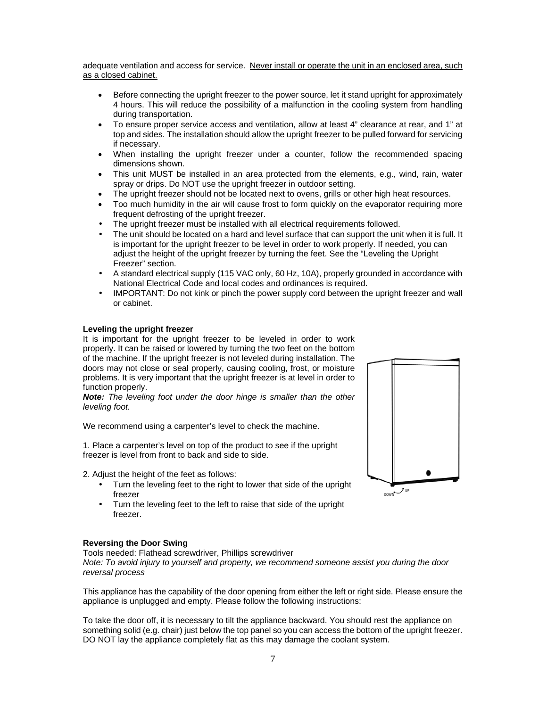adequate ventilation and access for service. Never install or operate the unit in an enclosed area, such as a closed cabinet.

- Before connecting the upright freezer to the power source, let it stand upright for approximately 4 hours. This will reduce the possibility of a malfunction in the cooling system from handling during transportation.
- To ensure proper service access and ventilation, allow at least 4" clearance at rear, and 1" at top and sides. The installation should allow the upright freezer to be pulled forward for servicing if necessary.
- When installing the upright freezer under a counter, follow the recommended spacing dimensions shown.
- This unit MUST be installed in an area protected from the elements, e.g., wind, rain, water spray or drips. Do NOT use the upright freezer in outdoor setting.
- The upright freezer should not be located next to ovens, grills or other high heat resources.
- Too much humidity in the air will cause frost to form quickly on the evaporator requiring more frequent defrosting of the upright freezer.
- The upright freezer must be installed with all electrical requirements followed.
- The unit should be located on a hard and level surface that can support the unit when it is full. It is important for the upright freezer to be level in order to work properly. If needed, you can adjust the height of the upright freezer by turning the feet. See the "Leveling the Upright Freezer" section.
- A standard electrical supply (115 VAC only, 60 Hz, 10A), properly grounded in accordance with National Electrical Code and local codes and ordinances is required.
- IMPORTANT: Do not kink or pinch the power supply cord between the upright freezer and wall or cabinet.

#### **Leveling the upright freezer**

It is important for the upright freezer to be leveled in order to work properly. It can be raised or lowered by turning the two feet on the bottom of the machine. If the upright freezer is not leveled during installation. The doors may not close or seal properly, causing cooling, frost, or moisture problems. It is very important that the upright freezer is at level in order to function properly.

*Note: The leveling foot under the door hinge is smaller than the other leveling foot.* 

We recommend using a carpenter's level to check the machine.

1. Place a carpenter's level on top of the product to see if the upright freezer is level from front to back and side to side.

2. Adjust the height of the feet as follows:

- Turn the leveling feet to the right to lower that side of the upright freezer
- Turn the leveling feet to the left to raise that side of the upright freezer.

#### **Reversing the Door Swing**

Tools needed: Flathead screwdriver, Phillips screwdriver

*Note: To avoid injury to yourself and property, we recommend someone assist you during the door reversal process*

This appliance has the capability of the door opening from either the left or right side. Please ensure the appliance is unplugged and empty. Please follow the following instructions:

To take the door off, it is necessary to tilt the appliance backward. You should rest the appliance on something solid (e.g. chair) just below the top panel so you can access the bottom of the upright freezer. DO NOT lay the appliance completely flat as this may damage the coolant system.

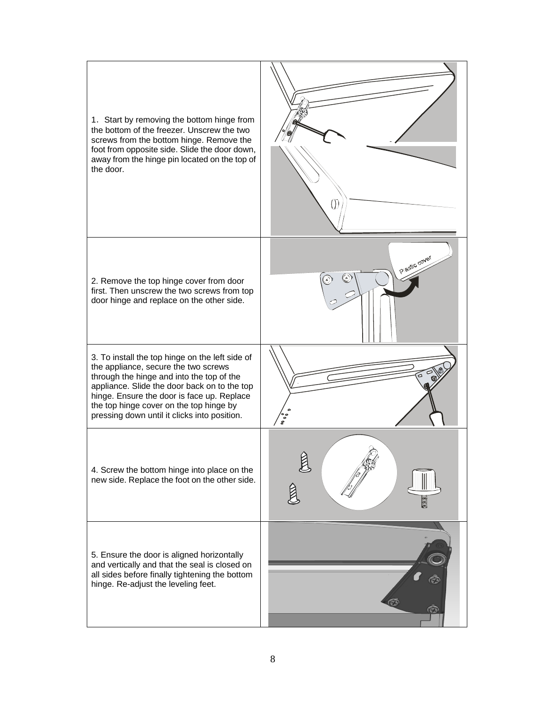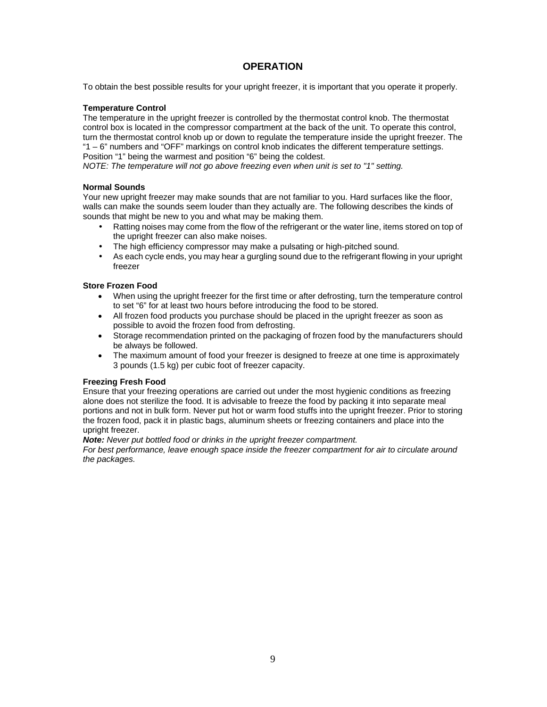### **OPERATION**

To obtain the best possible results for your upright freezer, it is important that you operate it properly.

#### **Temperature Control**

The temperature in the upright freezer is controlled by the thermostat control knob. The thermostat control box is located in the compressor compartment at the back of the unit. To operate this control, turn the thermostat control knob up or down to regulate the temperature inside the upright freezer. The "1 – 6" numbers and "OFF" markings on control knob indicates the different temperature settings. Position "1" being the warmest and position "6" being the coldest.

*NOTE: The temperature will not go above freezing even when unit is set to "1" setting.* 

#### **Normal Sounds**

Your new upright freezer may make sounds that are not familiar to you. Hard surfaces like the floor, walls can make the sounds seem louder than they actually are. The following describes the kinds of sounds that might be new to you and what may be making them.

- Ratting noises may come from the flow of the refrigerant or the water line, items stored on top of the upright freezer can also make noises.
- The high efficiency compressor may make a pulsating or high-pitched sound.
- As each cycle ends, you may hear a gurgling sound due to the refrigerant flowing in your upright freezer

#### **Store Frozen Food**

- When using the upright freezer for the first time or after defrosting, turn the temperature control to set "6" for at least two hours before introducing the food to be stored.
- All frozen food products you purchase should be placed in the upright freezer as soon as possible to avoid the frozen food from defrosting.
- Storage recommendation printed on the packaging of frozen food by the manufacturers should be always be followed.
- The maximum amount of food your freezer is designed to freeze at one time is approximately 3 pounds (1.5 kg) per cubic foot of freezer capacity.

#### **Freezing Fresh Food**

Ensure that your freezing operations are carried out under the most hygienic conditions as freezing alone does not sterilize the food. It is advisable to freeze the food by packing it into separate meal portions and not in bulk form. Never put hot or warm food stuffs into the upright freezer. Prior to storing the frozen food, pack it in plastic bags, aluminum sheets or freezing containers and place into the upright freezer.

#### *Note: Never put bottled food or drinks in the upright freezer compartment.*

*For best performance, leave enough space inside the freezer compartment for air to circulate around the packages.*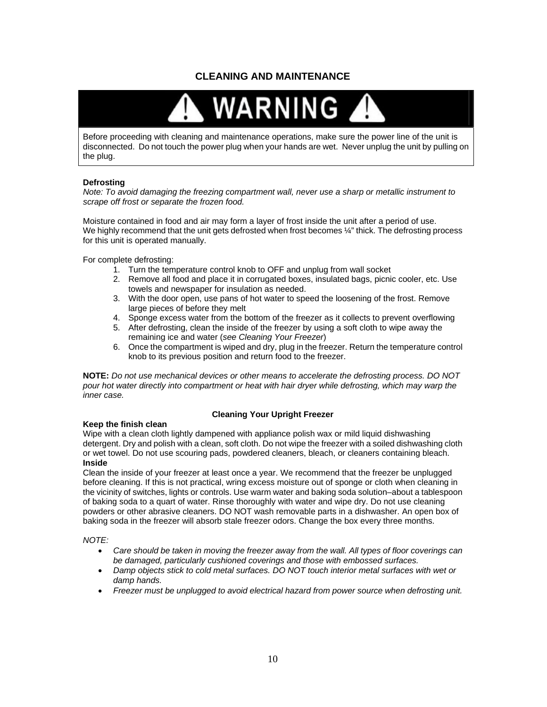# **CLEANING AND MAINTENANCE**



Before proceeding with cleaning and maintenance operations, make sure the power line of the unit is disconnected. Do not touch the power plug when your hands are wet. Never unplug the unit by pulling on the plug.

#### **Defrosting**

*Note: To avoid damaging the freezing compartment wall, never use a sharp or metallic instrument to scrape off frost or separate the frozen food.* 

Moisture contained in food and air may form a layer of frost inside the unit after a period of use. We highly recommend that the unit gets defrosted when frost becomes  $\frac{1}{4}$ " thick. The defrosting process for this unit is operated manually.

For complete defrosting:

- 1. Turn the temperature control knob to OFF and unplug from wall socket
- 2. Remove all food and place it in corrugated boxes, insulated bags, picnic cooler, etc. Use towels and newspaper for insulation as needed.
- 3. With the door open, use pans of hot water to speed the loosening of the frost. Remove large pieces of before they melt
- 4. Sponge excess water from the bottom of the freezer as it collects to prevent overflowing
- 5. After defrosting, clean the inside of the freezer by using a soft cloth to wipe away the remaining ice and water (*see Cleaning Your Freezer*)
- 6. Once the compartment is wiped and dry, plug in the freezer. Return the temperature control knob to its previous position and return food to the freezer.

**NOTE:** *Do not use mechanical devices or other means to accelerate the defrosting process. DO NOT pour hot water directly into compartment or heat with hair dryer while defrosting, which may warp the inner case.* 

#### **Keep the finish clean**

#### **Cleaning Your Upright Freezer**

Wipe with a clean cloth lightly dampened with appliance polish wax or mild liquid dishwashing detergent. Dry and polish with a clean, soft cloth. Do not wipe the freezer with a soiled dishwashing cloth or wet towel. Do not use scouring pads, powdered cleaners, bleach, or cleaners containing bleach. **Inside** 

Clean the inside of your freezer at least once a year. We recommend that the freezer be unplugged before cleaning. If this is not practical, wring excess moisture out of sponge or cloth when cleaning in the vicinity of switches, lights or controls. Use warm water and baking soda solution–about a tablespoon of baking soda to a quart of water. Rinse thoroughly with water and wipe dry. Do not use cleaning powders or other abrasive cleaners. DO NOT wash removable parts in a dishwasher. An open box of baking soda in the freezer will absorb stale freezer odors. Change the box every three months.

#### *NOTE:*

- *Care should be taken in moving the freezer away from the wall. All types of floor coverings can be damaged, particularly cushioned coverings and those with embossed surfaces.*
- *Damp objects stick to cold metal surfaces. DO NOT touch interior metal surfaces with wet or damp hands.*
- *Freezer must be unplugged to avoid electrical hazard from power source when defrosting unit.*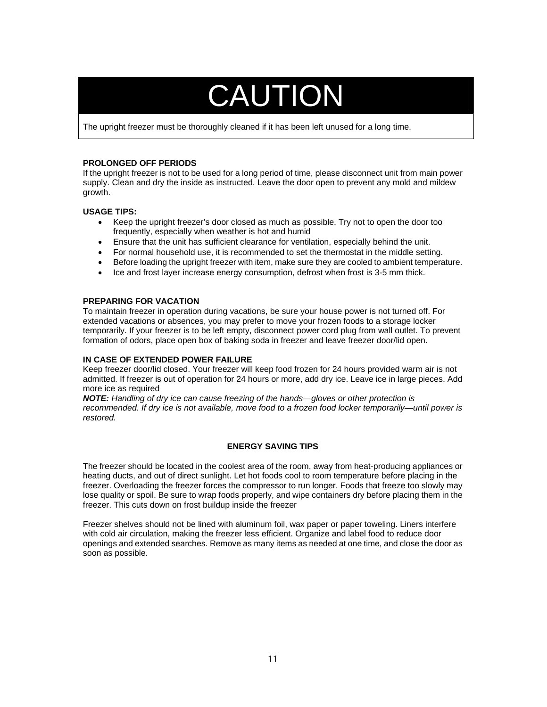# CAUTION

The upright freezer must be thoroughly cleaned if it has been left unused for a long time.

#### **PROLONGED OFF PERIODS**

If the upright freezer is not to be used for a long period of time, please disconnect unit from main power supply. Clean and dry the inside as instructed. Leave the door open to prevent any mold and mildew growth.

#### **USAGE TIPS:**

- Keep the upright freezer's door closed as much as possible. Try not to open the door too frequently, especially when weather is hot and humid
- Ensure that the unit has sufficient clearance for ventilation, especially behind the unit.
- For normal household use, it is recommended to set the thermostat in the middle setting.
- Before loading the upright freezer with item, make sure they are cooled to ambient temperature.
- Ice and frost layer increase energy consumption, defrost when frost is 3-5 mm thick.

#### **PREPARING FOR VACATION**

To maintain freezer in operation during vacations, be sure your house power is not turned off. For extended vacations or absences, you may prefer to move your frozen foods to a storage locker temporarily. If your freezer is to be left empty, disconnect power cord plug from wall outlet. To prevent formation of odors, place open box of baking soda in freezer and leave freezer door/lid open.

#### **IN CASE OF EXTENDED POWER FAILURE**

Keep freezer door/lid closed. Your freezer will keep food frozen for 24 hours provided warm air is not admitted. If freezer is out of operation for 24 hours or more, add dry ice. Leave ice in large pieces. Add more ice as required

*NOTE: Handling of dry ice can cause freezing of the hands—gloves or other protection is recommended. If dry ice is not available, move food to a frozen food locker temporarily—until power is restored.* 

#### **ENERGY SAVING TIPS**

The freezer should be located in the coolest area of the room, away from heat-producing appliances or heating ducts, and out of direct sunlight. Let hot foods cool to room temperature before placing in the freezer. Overloading the freezer forces the compressor to run longer. Foods that freeze too slowly may lose quality or spoil. Be sure to wrap foods properly, and wipe containers dry before placing them in the freezer. This cuts down on frost buildup inside the freezer

Freezer shelves should not be lined with aluminum foil, wax paper or paper toweling. Liners interfere with cold air circulation, making the freezer less efficient. Organize and label food to reduce door openings and extended searches. Remove as many items as needed at one time, and close the door as soon as possible.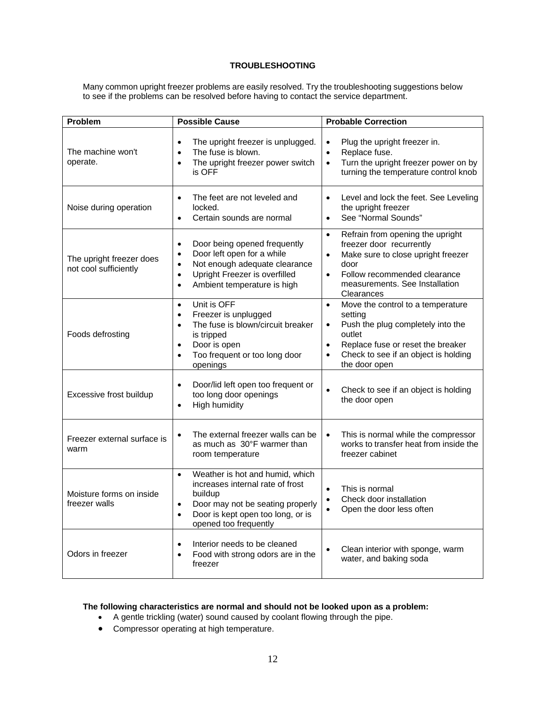#### **TROUBLESHOOTING**

Many common upright freezer problems are easily resolved. Try the troubleshooting suggestions below to see if the problems can be resolved before having to contact the service department.

| Problem                                           | <b>Possible Cause</b>                                                                                                                                                                                                        | <b>Probable Correction</b>                                                                                                                                                                                                                    |
|---------------------------------------------------|------------------------------------------------------------------------------------------------------------------------------------------------------------------------------------------------------------------------------|-----------------------------------------------------------------------------------------------------------------------------------------------------------------------------------------------------------------------------------------------|
| The machine won't<br>operate.                     | The upright freezer is unplugged.<br>$\bullet$<br>The fuse is blown.<br>$\bullet$<br>The upright freezer power switch<br>$\bullet$<br>is OFF                                                                                 | Plug the upright freezer in.<br>$\bullet$<br>Replace fuse.<br>$\bullet$<br>Turn the upright freezer power on by<br>$\bullet$<br>turning the temperature control knob                                                                          |
| Noise during operation                            | The feet are not leveled and<br>$\bullet$<br>locked.<br>Certain sounds are normal<br>$\bullet$                                                                                                                               | Level and lock the feet. See Leveling<br>$\bullet$<br>the upright freezer<br>See "Normal Sounds"<br>$\bullet$                                                                                                                                 |
| The upright freezer does<br>not cool sufficiently | Door being opened frequently<br>$\bullet$<br>Door left open for a while<br>$\bullet$<br>Not enough adequate clearance<br>$\bullet$<br>Upright Freezer is overfilled<br>$\bullet$<br>Ambient temperature is high<br>$\bullet$ | Refrain from opening the upright<br>$\bullet$<br>freezer door recurrently<br>Make sure to close upright freezer<br>$\bullet$<br>door<br>Follow recommended clearance<br>$\bullet$<br>measurements. See Installation<br>Clearances             |
| Foods defrosting                                  | Unit is OFF<br>$\bullet$<br>Freezer is unplugged<br>$\bullet$<br>The fuse is blown/circuit breaker<br>$\bullet$<br>is tripped<br>Door is open<br>$\bullet$<br>Too frequent or too long door<br>$\bullet$<br>openings         | Move the control to a temperature<br>$\bullet$<br>setting<br>Push the plug completely into the<br>$\bullet$<br>outlet<br>Replace fuse or reset the breaker<br>$\bullet$<br>Check to see if an object is holding<br>$\bullet$<br>the door open |
| Excessive frost buildup                           | Door/lid left open too frequent or<br>$\bullet$<br>too long door openings<br><b>High humidity</b><br>$\bullet$                                                                                                               | Check to see if an object is holding<br>$\bullet$<br>the door open                                                                                                                                                                            |
| Freezer external surface is<br>warm               | The external freezer walls can be<br>$\bullet$<br>as much as 30°F warmer than<br>room temperature                                                                                                                            | This is normal while the compressor<br>$\bullet$<br>works to transfer heat from inside the<br>freezer cabinet                                                                                                                                 |
| Moisture forms on inside<br>freezer walls         | Weather is hot and humid, which<br>$\bullet$<br>increases internal rate of frost<br>buildup<br>Door may not be seating properly<br>$\bullet$<br>Door is kept open too long, or is<br>$\bullet$<br>opened too frequently      | This is normal<br>$\bullet$<br>Check door installation<br>$\bullet$<br>Open the door less often<br>$\bullet$                                                                                                                                  |
| Odors in freezer                                  | Interior needs to be cleaned<br>$\bullet$<br>Food with strong odors are in the<br>$\bullet$<br>freezer                                                                                                                       | Clean interior with sponge, warm<br>$\bullet$<br>water, and baking soda                                                                                                                                                                       |

#### **The following characteristics are normal and should not be looked upon as a problem:**

- A gentle trickling (water) sound caused by coolant flowing through the pipe.
- Compressor operating at high temperature.